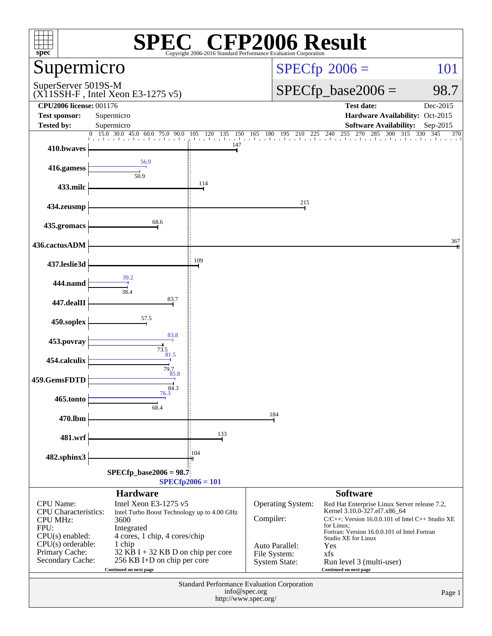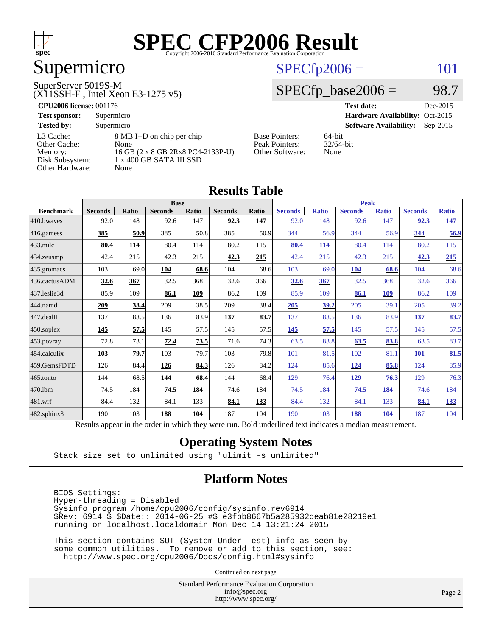

# Supermicro

#### SuperServer 5019S-M

(X11SSH-F , Intel Xeon E3-1275 v5)

#### $SPECfp2006 = 101$  $SPECfp2006 = 101$

#### $SPECfp\_base2006 = 98.7$

**[CPU2006 license:](http://www.spec.org/auto/cpu2006/Docs/result-fields.html#CPU2006license)** 001176 **[Test date:](http://www.spec.org/auto/cpu2006/Docs/result-fields.html#Testdate)** Dec-2015 **[Test sponsor:](http://www.spec.org/auto/cpu2006/Docs/result-fields.html#Testsponsor)** Supermicro **[Hardware Availability:](http://www.spec.org/auto/cpu2006/Docs/result-fields.html#HardwareAvailability)** Oct-2015 **[Tested by:](http://www.spec.org/auto/cpu2006/Docs/result-fields.html#Testedby)** Supermicro **Supermicro [Software Availability:](http://www.spec.org/auto/cpu2006/Docs/result-fields.html#SoftwareAvailability)** Sep-2015 [L3 Cache:](http://www.spec.org/auto/cpu2006/Docs/result-fields.html#L3Cache) 8 MB I+D on chip per chip<br>Other Cache: None [Other Cache:](http://www.spec.org/auto/cpu2006/Docs/result-fields.html#OtherCache) [Memory:](http://www.spec.org/auto/cpu2006/Docs/result-fields.html#Memory) 16 GB (2 x 8 GB 2Rx8 PC4-2133P-U) [Disk Subsystem:](http://www.spec.org/auto/cpu2006/Docs/result-fields.html#DiskSubsystem) 1 x 400 GB SATA III SSD [Other Hardware:](http://www.spec.org/auto/cpu2006/Docs/result-fields.html#OtherHardware) None [Base Pointers:](http://www.spec.org/auto/cpu2006/Docs/result-fields.html#BasePointers) 64-bit<br>Peak Pointers: 32/64-bit [Peak Pointers:](http://www.spec.org/auto/cpu2006/Docs/result-fields.html#PeakPointers) [Other Software:](http://www.spec.org/auto/cpu2006/Docs/result-fields.html#OtherSoftware) None

**[Results Table](http://www.spec.org/auto/cpu2006/Docs/result-fields.html#ResultsTable)**

|                        | Results Table                                                                                            |              |                |              |                |       |                |              |                |              |                |              |  |
|------------------------|----------------------------------------------------------------------------------------------------------|--------------|----------------|--------------|----------------|-------|----------------|--------------|----------------|--------------|----------------|--------------|--|
|                        | <b>Base</b>                                                                                              |              |                |              |                |       |                | <b>Peak</b>  |                |              |                |              |  |
| <b>Benchmark</b>       | <b>Seconds</b>                                                                                           | <b>Ratio</b> | <b>Seconds</b> | <b>Ratio</b> | <b>Seconds</b> | Ratio | <b>Seconds</b> | <b>Ratio</b> | <b>Seconds</b> | <b>Ratio</b> | <b>Seconds</b> | <b>Ratio</b> |  |
| 410.bwayes             | 92.0                                                                                                     | 148          | 92.6           | 147          | 92.3           | 147   | 92.0           | 148          | 92.6           | 147          | 92.3           | <u>147</u>   |  |
| 416.gamess             | 385                                                                                                      | 50.9         | 385            | 50.8         | 385            | 50.9  | 344            | 56.9         | 344            | 56.9         | 344            | 56.9         |  |
| $433$ .milc            | 80.4                                                                                                     | 114          | 80.4           | 114          | 80.2           | 115   | 80.4           | 114          | 80.4           | 114          | 80.2           | 115          |  |
| $ 434$ . zeusmp        | 42.4                                                                                                     | 215          | 42.3           | 215          | 42.3           | 215   | 42.4           | 215          | 42.3           | 215          | 42.3           | 215          |  |
| 435.gromacs            | 103                                                                                                      | 69.0         | 104            | 68.6         | 104            | 68.6  | 103            | 69.0         | 104            | 68.6         | 104            | 68.6         |  |
| 436.cactusADM          | 32.6                                                                                                     | 367          | 32.5           | 368          | 32.6           | 366   | 32.6           | <b>367</b>   | 32.5           | 368          | 32.6           | 366          |  |
| 437.leslie3d           | 85.9                                                                                                     | 109          | 86.1           | 109          | 86.2           | 109   | 85.9           | 109          | 86.1           | 109          | 86.2           | 109          |  |
| 444.namd               | 209                                                                                                      | 38.4         | 209            | 38.5         | 209            | 38.4  | 205            | 39.2         | 205            | 39.1         | 205            | 39.2         |  |
| $ 447 \text{.}$ dealII | 137                                                                                                      | 83.5         | 136            | 83.9         | 137            | 83.7  | 137            | 83.5         | 136            | 83.9         | <u>137</u>     | 83.7         |  |
| 450.soplex             | 145                                                                                                      | 57.5         | 145            | 57.5         | 145            | 57.5  | 145            | 57.5         | 145            | 57.5         | 145            | 57.5         |  |
| $453$ .povray          | 72.8                                                                                                     | 73.1         | 72.4           | 73.5         | 71.6           | 74.3  | 63.5           | 83.8         | 63.5           | 83.8         | 63.5           | 83.7         |  |
| $ 454$ .calculix       | 103                                                                                                      | 79.7         | 103            | 79.7         | 103            | 79.8  | 101            | 81.5         | 102            | 81.1         | <b>101</b>     | 81.5         |  |
| 459.GemsFDTD           | 126                                                                                                      | 84.4         | <u>126</u>     | 84.3         | 126            | 84.2  | 124            | 85.6         | 124            | 85.8         | 124            | 85.9         |  |
| $465$ .tonto           | 144                                                                                                      | 68.5         | <u>144</u>     | 68.4         | 144            | 68.4  | 129            | 76.4         | 129            | 76.3         | 129            | 76.3         |  |
| 470.1bm                | 74.5                                                                                                     | 184          | 74.5           | 184          | 74.6           | 184   | 74.5           | 184          | 74.5           | 184          | 74.6           | 184          |  |
| $ 481$ .wrf            | 84.4                                                                                                     | 132          | 84.1           | 133          | 84.1           | 133   | 84.4           | 132          | 84.1           | 133          | 84.1           | 133          |  |
| 482.sphinx3            | 190                                                                                                      | 103          | 188            | 104          | 187            | 104   | 190            | 103          | 188            | 104          | 187            | 104          |  |
|                        | Results appear in the order in which they were run. Bold underlined text indicates a median measurement. |              |                |              |                |       |                |              |                |              |                |              |  |

#### **[Operating System Notes](http://www.spec.org/auto/cpu2006/Docs/result-fields.html#OperatingSystemNotes)**

Stack size set to unlimited using "ulimit -s unlimited"

#### **[Platform Notes](http://www.spec.org/auto/cpu2006/Docs/result-fields.html#PlatformNotes)**

 BIOS Settings: Hyper-threading = Disabled Sysinfo program /home/cpu2006/config/sysinfo.rev6914 \$Rev: 6914 \$ \$Date:: 2014-06-25 #\$ e3fbb8667b5a285932ceab81e28219e1 running on localhost.localdomain Mon Dec 14 13:21:24 2015

 This section contains SUT (System Under Test) info as seen by some common utilities. To remove or add to this section, see: <http://www.spec.org/cpu2006/Docs/config.html#sysinfo>

Continued on next page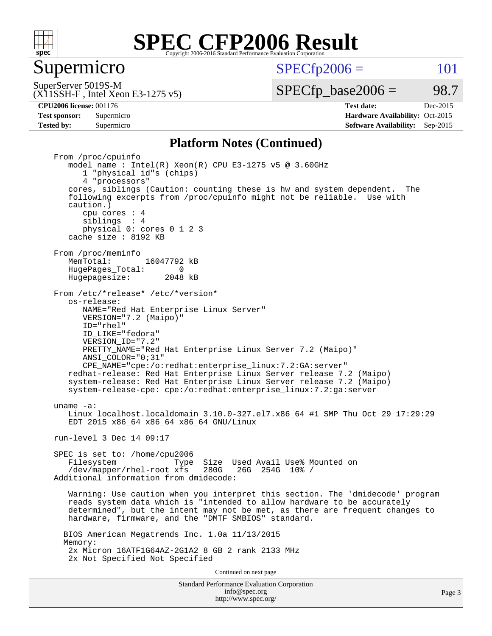

#### Supermicro

 $SPECTp2006 = 101$ 

(X11SSH-F , Intel Xeon E3-1275 v5) SuperServer 5019S-M

 $SPECTp\_base2006 = 98.7$ 

**[CPU2006 license:](http://www.spec.org/auto/cpu2006/Docs/result-fields.html#CPU2006license)** 001176 **[Test date:](http://www.spec.org/auto/cpu2006/Docs/result-fields.html#Testdate)** Dec-2015 **[Test sponsor:](http://www.spec.org/auto/cpu2006/Docs/result-fields.html#Testsponsor)** Supermicro Supermicro **[Hardware Availability:](http://www.spec.org/auto/cpu2006/Docs/result-fields.html#HardwareAvailability)** Oct-2015 **[Tested by:](http://www.spec.org/auto/cpu2006/Docs/result-fields.html#Testedby)** Supermicro **Supermicro [Software Availability:](http://www.spec.org/auto/cpu2006/Docs/result-fields.html#SoftwareAvailability)** Sep-2015

#### **[Platform Notes \(Continued\)](http://www.spec.org/auto/cpu2006/Docs/result-fields.html#PlatformNotes)**

Standard Performance Evaluation Corporation [info@spec.org](mailto:info@spec.org) From /proc/cpuinfo model name:  $Intel(R)$  Xeon $(R)$  CPU E3-1275 v5 @ 3.60GHz 1 "physical id"s (chips) 4 "processors" cores, siblings (Caution: counting these is hw and system dependent. The following excerpts from /proc/cpuinfo might not be reliable. Use with caution.) cpu cores : 4 siblings : 4 physical 0: cores 0 1 2 3 cache size : 8192 KB From /proc/meminfo<br>MemTotal: 16047792 kB HugePages\_Total: 0<br>Hugepagesize: 2048 kB Hugepagesize: From /etc/\*release\* /etc/\*version\* os-release: NAME="Red Hat Enterprise Linux Server" VERSION="7.2 (Maipo)" ID="rhel" ID\_LIKE="fedora" VERSION\_ID="7.2" PRETTY NAME="Red Hat Enterprise Linux Server 7.2 (Maipo)" ANSI\_COLOR="0;31" CPE\_NAME="cpe:/o:redhat:enterprise\_linux:7.2:GA:server" redhat-release: Red Hat Enterprise Linux Server release 7.2 (Maipo) system-release: Red Hat Enterprise Linux Server release 7.2 (Maipo) system-release-cpe: cpe:/o:redhat:enterprise\_linux:7.2:ga:server uname -a: Linux localhost.localdomain 3.10.0-327.el7.x86\_64 #1 SMP Thu Oct 29 17:29:29 EDT 2015 x86\_64 x86\_64 x86\_64 GNU/Linux run-level 3 Dec 14 09:17 SPEC is set to: /home/cpu2006 Type Size Used Avail Use% Mounted on /dev/mapper/rhel-root xfs 280G 26G 254G 10% / Additional information from dmidecode: Warning: Use caution when you interpret this section. The 'dmidecode' program reads system data which is "intended to allow hardware to be accurately determined", but the intent may not be met, as there are frequent changes to hardware, firmware, and the "DMTF SMBIOS" standard. BIOS American Megatrends Inc. 1.0a 11/13/2015 Memory: 2x Micron 16ATF1G64AZ-2G1A2 8 GB 2 rank 2133 MHz 2x Not Specified Not Specified Continued on next page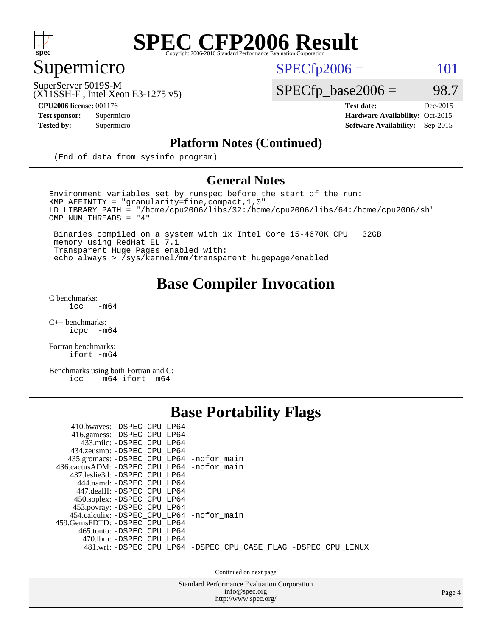

# Supermicro

 $SPECTp2006 = 101$ 

SuperServer 5019S-M

 $SPECfp\_base2006 = 98.7$ 

(X11SSH-F , Intel Xeon E3-1275 v5)

**[CPU2006 license:](http://www.spec.org/auto/cpu2006/Docs/result-fields.html#CPU2006license)** 001176 **[Test date:](http://www.spec.org/auto/cpu2006/Docs/result-fields.html#Testdate)** Dec-2015 **[Test sponsor:](http://www.spec.org/auto/cpu2006/Docs/result-fields.html#Testsponsor)** Supermicro Supermicro **[Hardware Availability:](http://www.spec.org/auto/cpu2006/Docs/result-fields.html#HardwareAvailability)** Oct-2015 **[Tested by:](http://www.spec.org/auto/cpu2006/Docs/result-fields.html#Testedby)** Supermicro **[Software Availability:](http://www.spec.org/auto/cpu2006/Docs/result-fields.html#SoftwareAvailability)** Sep-2015

#### **[Platform Notes \(Continued\)](http://www.spec.org/auto/cpu2006/Docs/result-fields.html#PlatformNotes)**

(End of data from sysinfo program)

#### **[General Notes](http://www.spec.org/auto/cpu2006/Docs/result-fields.html#GeneralNotes)**

Environment variables set by runspec before the start of the run:  $KMP_A$ FFINITY = "granularity=fine, compact, 1, 0" LD\_LIBRARY\_PATH = "/home/cpu2006/libs/32:/home/cpu2006/libs/64:/home/cpu2006/sh" OMP\_NUM\_THREADS = "4"

 Binaries compiled on a system with 1x Intel Core i5-4670K CPU + 32GB memory using RedHat EL 7.1 Transparent Huge Pages enabled with: echo always > /sys/kernel/mm/transparent\_hugepage/enabled

#### **[Base Compiler Invocation](http://www.spec.org/auto/cpu2006/Docs/result-fields.html#BaseCompilerInvocation)**

[C benchmarks](http://www.spec.org/auto/cpu2006/Docs/result-fields.html#Cbenchmarks):  $\text{icc}$  -m64

 $C++$  benchmarks:<br>icpc  $-m$ -m64

[Fortran benchmarks](http://www.spec.org/auto/cpu2006/Docs/result-fields.html#Fortranbenchmarks): [ifort -m64](http://www.spec.org/cpu2006/results/res2016q1/cpu2006-20151217-38463.flags.html#user_FCbase_intel_ifort_64bit_ee9d0fb25645d0210d97eb0527dcc06e)

[Benchmarks using both Fortran and C](http://www.spec.org/auto/cpu2006/Docs/result-fields.html#BenchmarksusingbothFortranandC): [icc -m64](http://www.spec.org/cpu2006/results/res2016q1/cpu2006-20151217-38463.flags.html#user_CC_FCbase_intel_icc_64bit_0b7121f5ab7cfabee23d88897260401c) [ifort -m64](http://www.spec.org/cpu2006/results/res2016q1/cpu2006-20151217-38463.flags.html#user_CC_FCbase_intel_ifort_64bit_ee9d0fb25645d0210d97eb0527dcc06e)

#### **[Base Portability Flags](http://www.spec.org/auto/cpu2006/Docs/result-fields.html#BasePortabilityFlags)**

| 410.bwaves: -DSPEC CPU LP64<br>416.gamess: -DSPEC_CPU_LP64<br>433.milc: -DSPEC CPU LP64<br>434.zeusmp: -DSPEC_CPU_LP64<br>435.gromacs: -DSPEC_CPU_LP64 -nofor_main<br>436.cactusADM: -DSPEC CPU LP64 -nofor main<br>437.leslie3d: -DSPEC CPU LP64<br>444.namd: - DSPEC_CPU LP64<br>447.dealII: -DSPEC CPU LP64 |                                                                |
|----------------------------------------------------------------------------------------------------------------------------------------------------------------------------------------------------------------------------------------------------------------------------------------------------------------|----------------------------------------------------------------|
| 450.soplex: -DSPEC_CPU_LP64<br>453.povray: -DSPEC_CPU_LP64<br>454.calculix: - DSPEC CPU LP64 - nofor main<br>459. GemsFDTD: - DSPEC CPU LP64<br>465.tonto: - DSPEC CPU LP64<br>470.1bm: - DSPEC CPU LP64                                                                                                       | 481.wrf: -DSPEC_CPU_LP64 -DSPEC_CPU_CASE_FLAG -DSPEC_CPU_LINUX |

Continued on next page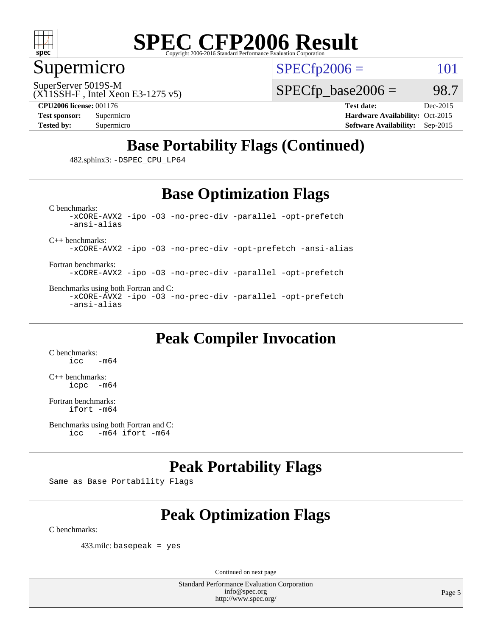

#### Supermicro

SuperServer 5019S-M

 $SPECTp2006 = 101$ 

(X11SSH-F , Intel Xeon E3-1275 v5)

 $SPECTp\_base2006 = 98.7$ 

**[CPU2006 license:](http://www.spec.org/auto/cpu2006/Docs/result-fields.html#CPU2006license)** 001176 **[Test date:](http://www.spec.org/auto/cpu2006/Docs/result-fields.html#Testdate)** Dec-2015

**[Test sponsor:](http://www.spec.org/auto/cpu2006/Docs/result-fields.html#Testsponsor)** Supermicro Supermicro **[Hardware Availability:](http://www.spec.org/auto/cpu2006/Docs/result-fields.html#HardwareAvailability)** Oct-2015 **[Tested by:](http://www.spec.org/auto/cpu2006/Docs/result-fields.html#Testedby)** Supermicro **Supermicro [Software Availability:](http://www.spec.org/auto/cpu2006/Docs/result-fields.html#SoftwareAvailability)** Sep-2015

### **[Base Portability Flags \(Continued\)](http://www.spec.org/auto/cpu2006/Docs/result-fields.html#BasePortabilityFlags)**

482.sphinx3: [-DSPEC\\_CPU\\_LP64](http://www.spec.org/cpu2006/results/res2016q1/cpu2006-20151217-38463.flags.html#suite_basePORTABILITY482_sphinx3_DSPEC_CPU_LP64)

### **[Base Optimization Flags](http://www.spec.org/auto/cpu2006/Docs/result-fields.html#BaseOptimizationFlags)**

[C benchmarks](http://www.spec.org/auto/cpu2006/Docs/result-fields.html#Cbenchmarks): [-xCORE-AVX2](http://www.spec.org/cpu2006/results/res2016q1/cpu2006-20151217-38463.flags.html#user_CCbase_f-xAVX2_5f5fc0cbe2c9f62c816d3e45806c70d7) [-ipo](http://www.spec.org/cpu2006/results/res2016q1/cpu2006-20151217-38463.flags.html#user_CCbase_f-ipo) [-O3](http://www.spec.org/cpu2006/results/res2016q1/cpu2006-20151217-38463.flags.html#user_CCbase_f-O3) [-no-prec-div](http://www.spec.org/cpu2006/results/res2016q1/cpu2006-20151217-38463.flags.html#user_CCbase_f-no-prec-div) [-parallel](http://www.spec.org/cpu2006/results/res2016q1/cpu2006-20151217-38463.flags.html#user_CCbase_f-parallel) [-opt-prefetch](http://www.spec.org/cpu2006/results/res2016q1/cpu2006-20151217-38463.flags.html#user_CCbase_f-opt-prefetch) [-ansi-alias](http://www.spec.org/cpu2006/results/res2016q1/cpu2006-20151217-38463.flags.html#user_CCbase_f-ansi-alias)

[C++ benchmarks:](http://www.spec.org/auto/cpu2006/Docs/result-fields.html#CXXbenchmarks)

[-xCORE-AVX2](http://www.spec.org/cpu2006/results/res2016q1/cpu2006-20151217-38463.flags.html#user_CXXbase_f-xAVX2_5f5fc0cbe2c9f62c816d3e45806c70d7) [-ipo](http://www.spec.org/cpu2006/results/res2016q1/cpu2006-20151217-38463.flags.html#user_CXXbase_f-ipo) [-O3](http://www.spec.org/cpu2006/results/res2016q1/cpu2006-20151217-38463.flags.html#user_CXXbase_f-O3) [-no-prec-div](http://www.spec.org/cpu2006/results/res2016q1/cpu2006-20151217-38463.flags.html#user_CXXbase_f-no-prec-div) [-opt-prefetch](http://www.spec.org/cpu2006/results/res2016q1/cpu2006-20151217-38463.flags.html#user_CXXbase_f-opt-prefetch) [-ansi-alias](http://www.spec.org/cpu2006/results/res2016q1/cpu2006-20151217-38463.flags.html#user_CXXbase_f-ansi-alias)

[Fortran benchmarks](http://www.spec.org/auto/cpu2006/Docs/result-fields.html#Fortranbenchmarks): [-xCORE-AVX2](http://www.spec.org/cpu2006/results/res2016q1/cpu2006-20151217-38463.flags.html#user_FCbase_f-xAVX2_5f5fc0cbe2c9f62c816d3e45806c70d7) [-ipo](http://www.spec.org/cpu2006/results/res2016q1/cpu2006-20151217-38463.flags.html#user_FCbase_f-ipo) [-O3](http://www.spec.org/cpu2006/results/res2016q1/cpu2006-20151217-38463.flags.html#user_FCbase_f-O3) [-no-prec-div](http://www.spec.org/cpu2006/results/res2016q1/cpu2006-20151217-38463.flags.html#user_FCbase_f-no-prec-div) [-parallel](http://www.spec.org/cpu2006/results/res2016q1/cpu2006-20151217-38463.flags.html#user_FCbase_f-parallel) [-opt-prefetch](http://www.spec.org/cpu2006/results/res2016q1/cpu2006-20151217-38463.flags.html#user_FCbase_f-opt-prefetch)

[Benchmarks using both Fortran and C](http://www.spec.org/auto/cpu2006/Docs/result-fields.html#BenchmarksusingbothFortranandC): [-xCORE-AVX2](http://www.spec.org/cpu2006/results/res2016q1/cpu2006-20151217-38463.flags.html#user_CC_FCbase_f-xAVX2_5f5fc0cbe2c9f62c816d3e45806c70d7) [-ipo](http://www.spec.org/cpu2006/results/res2016q1/cpu2006-20151217-38463.flags.html#user_CC_FCbase_f-ipo) [-O3](http://www.spec.org/cpu2006/results/res2016q1/cpu2006-20151217-38463.flags.html#user_CC_FCbase_f-O3) [-no-prec-div](http://www.spec.org/cpu2006/results/res2016q1/cpu2006-20151217-38463.flags.html#user_CC_FCbase_f-no-prec-div) [-parallel](http://www.spec.org/cpu2006/results/res2016q1/cpu2006-20151217-38463.flags.html#user_CC_FCbase_f-parallel) [-opt-prefetch](http://www.spec.org/cpu2006/results/res2016q1/cpu2006-20151217-38463.flags.html#user_CC_FCbase_f-opt-prefetch) [-ansi-alias](http://www.spec.org/cpu2006/results/res2016q1/cpu2006-20151217-38463.flags.html#user_CC_FCbase_f-ansi-alias)

### **[Peak Compiler Invocation](http://www.spec.org/auto/cpu2006/Docs/result-fields.html#PeakCompilerInvocation)**

[C benchmarks](http://www.spec.org/auto/cpu2006/Docs/result-fields.html#Cbenchmarks):  $-m64$ 

[C++ benchmarks:](http://www.spec.org/auto/cpu2006/Docs/result-fields.html#CXXbenchmarks) [icpc -m64](http://www.spec.org/cpu2006/results/res2016q1/cpu2006-20151217-38463.flags.html#user_CXXpeak_intel_icpc_64bit_bedb90c1146cab66620883ef4f41a67e)

[Fortran benchmarks](http://www.spec.org/auto/cpu2006/Docs/result-fields.html#Fortranbenchmarks): [ifort -m64](http://www.spec.org/cpu2006/results/res2016q1/cpu2006-20151217-38463.flags.html#user_FCpeak_intel_ifort_64bit_ee9d0fb25645d0210d97eb0527dcc06e)

### **[Peak Portability Flags](http://www.spec.org/auto/cpu2006/Docs/result-fields.html#PeakPortabilityFlags)**

Same as Base Portability Flags

# **[Peak Optimization Flags](http://www.spec.org/auto/cpu2006/Docs/result-fields.html#PeakOptimizationFlags)**

[C benchmarks](http://www.spec.org/auto/cpu2006/Docs/result-fields.html#Cbenchmarks):

433.milc: basepeak = yes

Continued on next page

[Benchmarks using both Fortran and C](http://www.spec.org/auto/cpu2006/Docs/result-fields.html#BenchmarksusingbothFortranandC): [icc -m64](http://www.spec.org/cpu2006/results/res2016q1/cpu2006-20151217-38463.flags.html#user_CC_FCpeak_intel_icc_64bit_0b7121f5ab7cfabee23d88897260401c) [ifort -m64](http://www.spec.org/cpu2006/results/res2016q1/cpu2006-20151217-38463.flags.html#user_CC_FCpeak_intel_ifort_64bit_ee9d0fb25645d0210d97eb0527dcc06e)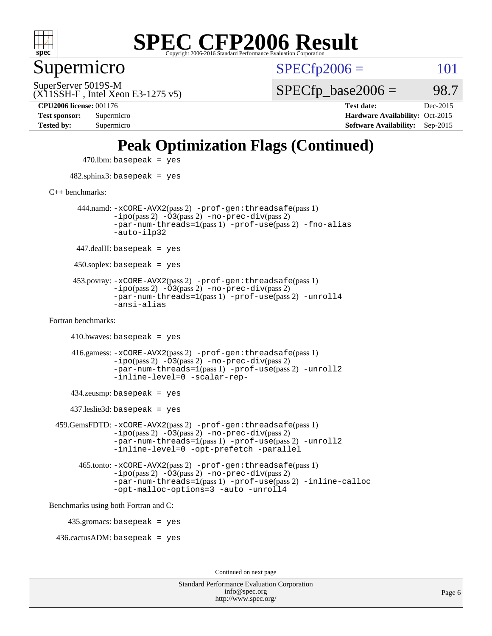

Supermicro

 $SPECTp2006 = 101$ 

(X11SSH-F , Intel Xeon E3-1275 v5) SuperServer 5019S-M

 $SPECTp\_base2006 = 98.7$ 

**[Tested by:](http://www.spec.org/auto/cpu2006/Docs/result-fields.html#Testedby)** Supermicro **[Software Availability:](http://www.spec.org/auto/cpu2006/Docs/result-fields.html#SoftwareAvailability)** Sep-2015

**[CPU2006 license:](http://www.spec.org/auto/cpu2006/Docs/result-fields.html#CPU2006license)** 001176 **[Test date:](http://www.spec.org/auto/cpu2006/Docs/result-fields.html#Testdate)** Dec-2015 **[Test sponsor:](http://www.spec.org/auto/cpu2006/Docs/result-fields.html#Testsponsor)** Supermicro **[Hardware Availability:](http://www.spec.org/auto/cpu2006/Docs/result-fields.html#HardwareAvailability)** Oct-2015

### **[Peak Optimization Flags \(Continued\)](http://www.spec.org/auto/cpu2006/Docs/result-fields.html#PeakOptimizationFlags)**

 $470$ .lbm: basepeak = yes 482.sphinx3: basepeak = yes [C++ benchmarks:](http://www.spec.org/auto/cpu2006/Docs/result-fields.html#CXXbenchmarks) 444.namd: [-xCORE-AVX2](http://www.spec.org/cpu2006/results/res2016q1/cpu2006-20151217-38463.flags.html#user_peakPASS2_CXXFLAGSPASS2_LDFLAGS444_namd_f-xAVX2_5f5fc0cbe2c9f62c816d3e45806c70d7)(pass 2) [-prof-gen:threadsafe](http://www.spec.org/cpu2006/results/res2016q1/cpu2006-20151217-38463.flags.html#user_peakPASS1_CXXFLAGSPASS1_LDFLAGS444_namd_prof_gen_21a26eb79f378b550acd7bec9fe4467a)(pass 1)  $-i\text{po}(pass 2) -\overline{0}3(pass 2) -no-prec-div(pass 2)$  $-i\text{po}(pass 2) -\overline{0}3(pass 2) -no-prec-div(pass 2)$  $-i\text{po}(pass 2) -\overline{0}3(pass 2) -no-prec-div(pass 2)$ [-par-num-threads=1](http://www.spec.org/cpu2006/results/res2016q1/cpu2006-20151217-38463.flags.html#user_peakPASS1_CXXFLAGSPASS1_LDFLAGS444_namd_par_num_threads_786a6ff141b4e9e90432e998842df6c2)(pass 1) [-prof-use](http://www.spec.org/cpu2006/results/res2016q1/cpu2006-20151217-38463.flags.html#user_peakPASS2_CXXFLAGSPASS2_LDFLAGS444_namd_prof_use_bccf7792157ff70d64e32fe3e1250b55)(pass 2) [-fno-alias](http://www.spec.org/cpu2006/results/res2016q1/cpu2006-20151217-38463.flags.html#user_peakCXXOPTIMIZEOPTIMIZE444_namd_f-no-alias_694e77f6c5a51e658e82ccff53a9e63a) [-auto-ilp32](http://www.spec.org/cpu2006/results/res2016q1/cpu2006-20151217-38463.flags.html#user_peakCXXOPTIMIZE444_namd_f-auto-ilp32)  $447$ .dealII: basepeak = yes 450.soplex: basepeak = yes 453.povray: [-xCORE-AVX2](http://www.spec.org/cpu2006/results/res2016q1/cpu2006-20151217-38463.flags.html#user_peakPASS2_CXXFLAGSPASS2_LDFLAGS453_povray_f-xAVX2_5f5fc0cbe2c9f62c816d3e45806c70d7)(pass 2) [-prof-gen:threadsafe](http://www.spec.org/cpu2006/results/res2016q1/cpu2006-20151217-38463.flags.html#user_peakPASS1_CXXFLAGSPASS1_LDFLAGS453_povray_prof_gen_21a26eb79f378b550acd7bec9fe4467a)(pass 1)  $-ipo(pass 2)$  $-ipo(pass 2)$   $-03(pass 2)$   $-no-prec-div(pass 2)$  $-no-prec-div(pass 2)$ [-par-num-threads=1](http://www.spec.org/cpu2006/results/res2016q1/cpu2006-20151217-38463.flags.html#user_peakPASS1_CXXFLAGSPASS1_LDFLAGS453_povray_par_num_threads_786a6ff141b4e9e90432e998842df6c2)(pass 1) [-prof-use](http://www.spec.org/cpu2006/results/res2016q1/cpu2006-20151217-38463.flags.html#user_peakPASS2_CXXFLAGSPASS2_LDFLAGS453_povray_prof_use_bccf7792157ff70d64e32fe3e1250b55)(pass 2) [-unroll4](http://www.spec.org/cpu2006/results/res2016q1/cpu2006-20151217-38463.flags.html#user_peakCXXOPTIMIZE453_povray_f-unroll_4e5e4ed65b7fd20bdcd365bec371b81f) [-ansi-alias](http://www.spec.org/cpu2006/results/res2016q1/cpu2006-20151217-38463.flags.html#user_peakCXXOPTIMIZE453_povray_f-ansi-alias) [Fortran benchmarks](http://www.spec.org/auto/cpu2006/Docs/result-fields.html#Fortranbenchmarks):  $410.bwaves: basepeak = yes$  416.gamess: [-xCORE-AVX2](http://www.spec.org/cpu2006/results/res2016q1/cpu2006-20151217-38463.flags.html#user_peakPASS2_FFLAGSPASS2_LDFLAGS416_gamess_f-xAVX2_5f5fc0cbe2c9f62c816d3e45806c70d7)(pass 2) [-prof-gen:threadsafe](http://www.spec.org/cpu2006/results/res2016q1/cpu2006-20151217-38463.flags.html#user_peakPASS1_FFLAGSPASS1_LDFLAGS416_gamess_prof_gen_21a26eb79f378b550acd7bec9fe4467a)(pass 1)  $-i\text{po}(pass 2)$   $-\tilde{O}3(pass 2)$   $-no-prec-div(pass 2)$  $-no-prec-div(pass 2)$ [-par-num-threads=1](http://www.spec.org/cpu2006/results/res2016q1/cpu2006-20151217-38463.flags.html#user_peakPASS1_FFLAGSPASS1_LDFLAGS416_gamess_par_num_threads_786a6ff141b4e9e90432e998842df6c2)(pass 1) [-prof-use](http://www.spec.org/cpu2006/results/res2016q1/cpu2006-20151217-38463.flags.html#user_peakPASS2_FFLAGSPASS2_LDFLAGS416_gamess_prof_use_bccf7792157ff70d64e32fe3e1250b55)(pass 2) [-unroll2](http://www.spec.org/cpu2006/results/res2016q1/cpu2006-20151217-38463.flags.html#user_peakOPTIMIZE416_gamess_f-unroll_784dae83bebfb236979b41d2422d7ec2) [-inline-level=0](http://www.spec.org/cpu2006/results/res2016q1/cpu2006-20151217-38463.flags.html#user_peakOPTIMIZE416_gamess_f-inline-level_318d07a09274ad25e8d15dbfaa68ba50) [-scalar-rep-](http://www.spec.org/cpu2006/results/res2016q1/cpu2006-20151217-38463.flags.html#user_peakOPTIMIZE416_gamess_f-disablescalarrep_abbcad04450fb118e4809c81d83c8a1d) 434.zeusmp: basepeak = yes 437.leslie3d: basepeak = yes 459.GemsFDTD: [-xCORE-AVX2](http://www.spec.org/cpu2006/results/res2016q1/cpu2006-20151217-38463.flags.html#user_peakPASS2_FFLAGSPASS2_LDFLAGS459_GemsFDTD_f-xAVX2_5f5fc0cbe2c9f62c816d3e45806c70d7)(pass 2) [-prof-gen:threadsafe](http://www.spec.org/cpu2006/results/res2016q1/cpu2006-20151217-38463.flags.html#user_peakPASS1_FFLAGSPASS1_LDFLAGS459_GemsFDTD_prof_gen_21a26eb79f378b550acd7bec9fe4467a)(pass 1)  $-i\text{po}(pass 2) -\overline{0}3(pass 2) -no-prec-div(pass 2)$  $-i\text{po}(pass 2) -\overline{0}3(pass 2) -no-prec-div(pass 2)$  $-i\text{po}(pass 2) -\overline{0}3(pass 2) -no-prec-div(pass 2)$ [-par-num-threads=1](http://www.spec.org/cpu2006/results/res2016q1/cpu2006-20151217-38463.flags.html#user_peakPASS1_FFLAGSPASS1_LDFLAGS459_GemsFDTD_par_num_threads_786a6ff141b4e9e90432e998842df6c2)(pass 1) [-prof-use](http://www.spec.org/cpu2006/results/res2016q1/cpu2006-20151217-38463.flags.html#user_peakPASS2_FFLAGSPASS2_LDFLAGS459_GemsFDTD_prof_use_bccf7792157ff70d64e32fe3e1250b55)(pass 2) [-unroll2](http://www.spec.org/cpu2006/results/res2016q1/cpu2006-20151217-38463.flags.html#user_peakOPTIMIZE459_GemsFDTD_f-unroll_784dae83bebfb236979b41d2422d7ec2) [-inline-level=0](http://www.spec.org/cpu2006/results/res2016q1/cpu2006-20151217-38463.flags.html#user_peakOPTIMIZE459_GemsFDTD_f-inline-level_318d07a09274ad25e8d15dbfaa68ba50) [-opt-prefetch](http://www.spec.org/cpu2006/results/res2016q1/cpu2006-20151217-38463.flags.html#user_peakOPTIMIZE459_GemsFDTD_f-opt-prefetch) [-parallel](http://www.spec.org/cpu2006/results/res2016q1/cpu2006-20151217-38463.flags.html#user_peakOPTIMIZE459_GemsFDTD_f-parallel) 465.tonto: [-xCORE-AVX2](http://www.spec.org/cpu2006/results/res2016q1/cpu2006-20151217-38463.flags.html#user_peakPASS2_FFLAGSPASS2_LDFLAGS465_tonto_f-xAVX2_5f5fc0cbe2c9f62c816d3e45806c70d7)(pass 2) [-prof-gen:threadsafe](http://www.spec.org/cpu2006/results/res2016q1/cpu2006-20151217-38463.flags.html#user_peakPASS1_FFLAGSPASS1_LDFLAGS465_tonto_prof_gen_21a26eb79f378b550acd7bec9fe4467a)(pass 1)  $-i\text{po}(pass 2) -\overline{O}3(pass 2)$  [-no-prec-div](http://www.spec.org/cpu2006/results/res2016q1/cpu2006-20151217-38463.flags.html#user_peakPASS2_FFLAGSPASS2_LDFLAGS465_tonto_f-no-prec-div)(pass 2) [-par-num-threads=1](http://www.spec.org/cpu2006/results/res2016q1/cpu2006-20151217-38463.flags.html#user_peakPASS1_FFLAGSPASS1_LDFLAGS465_tonto_par_num_threads_786a6ff141b4e9e90432e998842df6c2)(pass 1) [-prof-use](http://www.spec.org/cpu2006/results/res2016q1/cpu2006-20151217-38463.flags.html#user_peakPASS2_FFLAGSPASS2_LDFLAGS465_tonto_prof_use_bccf7792157ff70d64e32fe3e1250b55)(pass 2) [-inline-calloc](http://www.spec.org/cpu2006/results/res2016q1/cpu2006-20151217-38463.flags.html#user_peakOPTIMIZE465_tonto_f-inline-calloc) [-opt-malloc-options=3](http://www.spec.org/cpu2006/results/res2016q1/cpu2006-20151217-38463.flags.html#user_peakOPTIMIZE465_tonto_f-opt-malloc-options_13ab9b803cf986b4ee62f0a5998c2238) [-auto](http://www.spec.org/cpu2006/results/res2016q1/cpu2006-20151217-38463.flags.html#user_peakOPTIMIZE465_tonto_f-auto) [-unroll4](http://www.spec.org/cpu2006/results/res2016q1/cpu2006-20151217-38463.flags.html#user_peakOPTIMIZE465_tonto_f-unroll_4e5e4ed65b7fd20bdcd365bec371b81f) [Benchmarks using both Fortran and C](http://www.spec.org/auto/cpu2006/Docs/result-fields.html#BenchmarksusingbothFortranandC): 435.gromacs: basepeak = yes 436.cactusADM: basepeak = yes Continued on next page